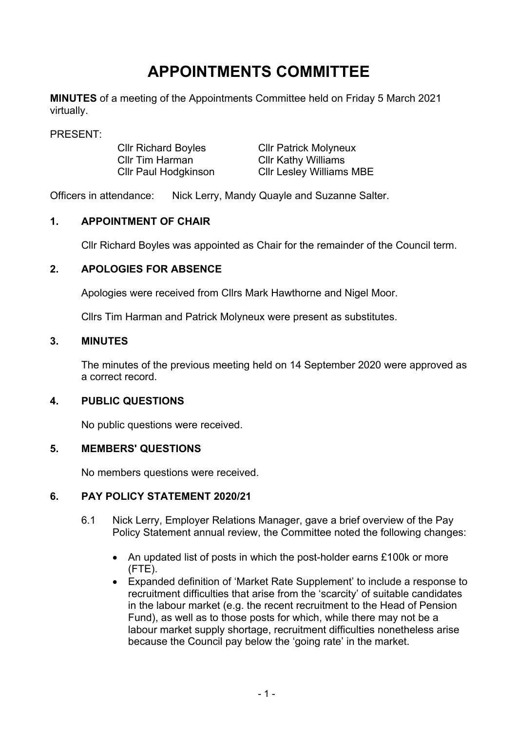# **APPOINTMENTS COMMITTEE**

**MINUTES** of a meeting of the Appointments Committee held on Friday 5 March 2021 virtually.

PRESENT:

Cllr Richard Boyles Cllr Tim Harman Cllr Paul Hodgkinson

Cllr Patrick Molyneux Cllr Kathy Williams Cllr Lesley Williams MBE

Officers in attendance: Nick Lerry, Mandy Quayle and Suzanne Salter.

## **1. APPOINTMENT OF CHAIR**

Cllr Richard Boyles was appointed as Chair for the remainder of the Council term.

#### **2. APOLOGIES FOR ABSENCE**

Apologies were received from Cllrs Mark Hawthorne and Nigel Moor.

Cllrs Tim Harman and Patrick Molyneux were present as substitutes.

## **3. MINUTES**

The minutes of the previous meeting held on 14 September 2020 were approved as a correct record.

#### **4. PUBLIC QUESTIONS**

No public questions were received.

#### **5. MEMBERS' QUESTIONS**

No members questions were received.

# **6. PAY POLICY STATEMENT 2020/21**

- 6.1 Nick Lerry, Employer Relations Manager, gave a brief overview of the Pay Policy Statement annual review, the Committee noted the following changes:
	- An updated list of posts in which the post-holder earns £100k or more (FTE).
	- Expanded definition of 'Market Rate Supplement' to include a response to recruitment difficulties that arise from the 'scarcity' of suitable candidates in the labour market (e.g. the recent recruitment to the Head of Pension Fund), as well as to those posts for which, while there may not be a labour market supply shortage, recruitment difficulties nonetheless arise because the Council pay below the 'going rate' in the market.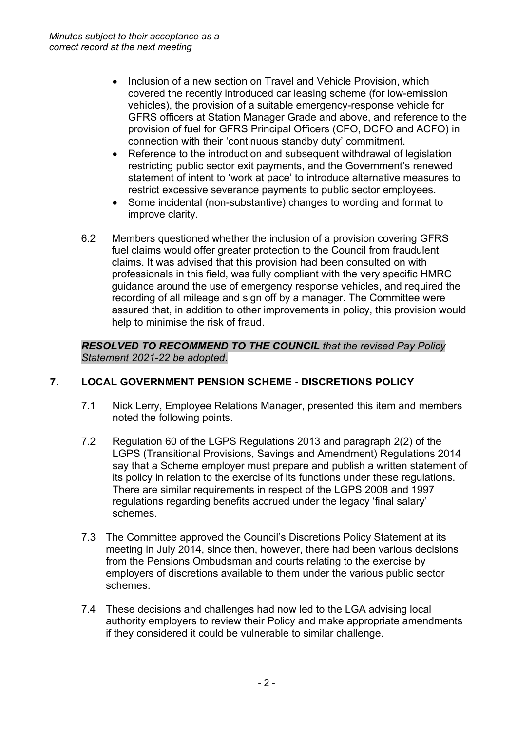- Inclusion of a new section on Travel and Vehicle Provision, which covered the recently introduced car leasing scheme (for low-emission vehicles), the provision of a suitable emergency-response vehicle for GFRS officers at Station Manager Grade and above, and reference to the provision of fuel for GFRS Principal Officers (CFO, DCFO and ACFO) in connection with their 'continuous standby duty' commitment.
- Reference to the introduction and subsequent withdrawal of legislation restricting public sector exit payments, and the Government's renewed statement of intent to 'work at pace' to introduce alternative measures to restrict excessive severance payments to public sector employees.
- Some incidental (non-substantive) changes to wording and format to improve clarity.
- 6.2 Members questioned whether the inclusion of a provision covering GFRS fuel claims would offer greater protection to the Council from fraudulent claims. It was advised that this provision had been consulted on with professionals in this field, was fully compliant with the very specific HMRC guidance around the use of emergency response vehicles, and required the recording of all mileage and sign off by a manager. The Committee were assured that, in addition to other improvements in policy, this provision would help to minimise the risk of fraud.

#### *RESOLVED TO RECOMMEND TO THE COUNCIL that the revised Pay Policy Statement 2021-22 be adopted.*

# **7. LOCAL GOVERNMENT PENSION SCHEME - DISCRETIONS POLICY**

- 7.1 Nick Lerry, Employee Relations Manager, presented this item and members noted the following points.
- 7.2 Regulation 60 of the LGPS Regulations 2013 and paragraph 2(2) of the LGPS (Transitional Provisions, Savings and Amendment) Regulations 2014 say that a Scheme employer must prepare and publish a written statement of its policy in relation to the exercise of its functions under these regulations. There are similar requirements in respect of the LGPS 2008 and 1997 regulations regarding benefits accrued under the legacy 'final salary' schemes.
- 7.3 The Committee approved the Council's Discretions Policy Statement at its meeting in July 2014, since then, however, there had been various decisions from the Pensions Ombudsman and courts relating to the exercise by employers of discretions available to them under the various public sector schemes.
- 7.4 These decisions and challenges had now led to the LGA advising local authority employers to review their Policy and make appropriate amendments if they considered it could be vulnerable to similar challenge.